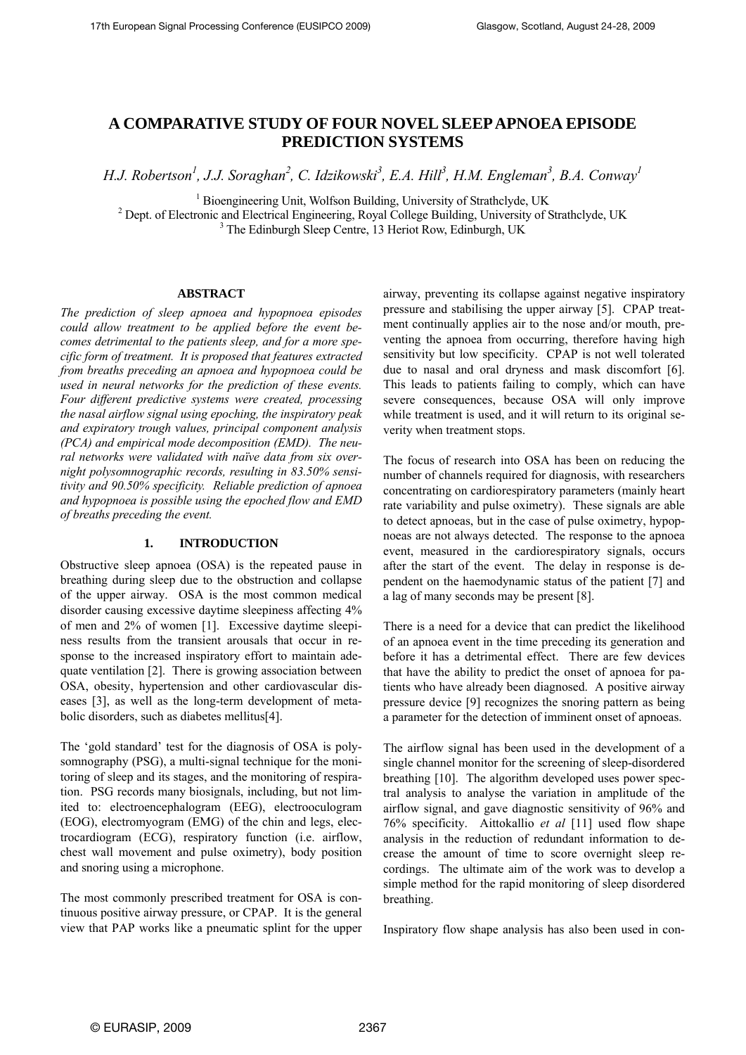# **A COMPARATIVE STUDY OF FOUR NOVEL SLEEP APNOEA EPISODE PREDICTION SYSTEMS**

*H.J. Robertson<sup>1</sup>, J.J. Soraghan<sup>2</sup>, C. Idzikowski<sup>3</sup>, E.A. Hill<sup>3</sup>, H.M. Engleman<sup>3</sup>, B.A. Conway<sup>1</sup>* 

<sup>1</sup> Bioengineering Unit, Wolfson Building, University of Strathclyde, UK<br><sup>2</sup> Dept. of Electronic and Electrical Engineering, Boyel College Building, University of S

<sup>2</sup> Dept. of Electronic and Electrical Engineering, Royal College Building, University of Strathclyde, UK  $3$  The Edinburgh Sleep Centre, 13 Heriot Row, Edinburgh, UK

### **ABSTRACT**

*The prediction of sleep apnoea and hypopnoea episodes could allow treatment to be applied before the event becomes detrimental to the patients sleep, and for a more specific form of treatment. It is proposed that features extracted from breaths preceding an apnoea and hypopnoea could be used in neural networks for the prediction of these events. Four different predictive systems were created, processing the nasal airflow signal using epoching, the inspiratory peak and expiratory trough values, principal component analysis (PCA) and empirical mode decomposition (EMD). The neural networks were validated with naïve data from six overnight polysomnographic records, resulting in 83.50% sensitivity and 90.50% specificity. Reliable prediction of apnoea and hypopnoea is possible using the epoched flow and EMD of breaths preceding the event.* 

### **1. INTRODUCTION**

Obstructive sleep apnoea (OSA) is the repeated pause in breathing during sleep due to the obstruction and collapse of the upper airway. OSA is the most common medical disorder causing excessive daytime sleepiness affecting 4% of men and 2% of women [1]. Excessive daytime sleepiness results from the transient arousals that occur in response to the increased inspiratory effort to maintain adequate ventilation [2]. There is growing association between OSA, obesity, hypertension and other cardiovascular diseases [3], as well as the long-term development of metabolic disorders, such as diabetes mellitus[4].

The 'gold standard' test for the diagnosis of OSA is polysomnography (PSG), a multi-signal technique for the monitoring of sleep and its stages, and the monitoring of respiration. PSG records many biosignals, including, but not limited to: electroencephalogram (EEG), electrooculogram (EOG), electromyogram (EMG) of the chin and legs, electrocardiogram (ECG), respiratory function (i.e. airflow, chest wall movement and pulse oximetry), body position and snoring using a microphone.

The most commonly prescribed treatment for OSA is continuous positive airway pressure, or CPAP. It is the general view that PAP works like a pneumatic splint for the upper airway, preventing its collapse against negative inspiratory pressure and stabilising the upper airway [5]. CPAP treatment continually applies air to the nose and/or mouth, preventing the apnoea from occurring, therefore having high sensitivity but low specificity. CPAP is not well tolerated due to nasal and oral dryness and mask discomfort [6]. This leads to patients failing to comply, which can have severe consequences, because OSA will only improve while treatment is used, and it will return to its original severity when treatment stops.

The focus of research into OSA has been on reducing the number of channels required for diagnosis, with researchers concentrating on cardiorespiratory parameters (mainly heart rate variability and pulse oximetry). These signals are able to detect apnoeas, but in the case of pulse oximetry, hypopnoeas are not always detected. The response to the apnoea event, measured in the cardiorespiratory signals, occurs after the start of the event. The delay in response is dependent on the haemodynamic status of the patient [7] and a lag of many seconds may be present [8].

There is a need for a device that can predict the likelihood of an apnoea event in the time preceding its generation and before it has a detrimental effect. There are few devices that have the ability to predict the onset of apnoea for patients who have already been diagnosed. A positive airway pressure device [9] recognizes the snoring pattern as being a parameter for the detection of imminent onset of apnoeas.

The airflow signal has been used in the development of a single channel monitor for the screening of sleep-disordered breathing [10]. The algorithm developed uses power spectral analysis to analyse the variation in amplitude of the airflow signal, and gave diagnostic sensitivity of 96% and 76% specificity. Aittokallio *et al* [11] used flow shape analysis in the reduction of redundant information to decrease the amount of time to score overnight sleep recordings. The ultimate aim of the work was to develop a simple method for the rapid monitoring of sleep disordered breathing.

Inspiratory flow shape analysis has also been used in con-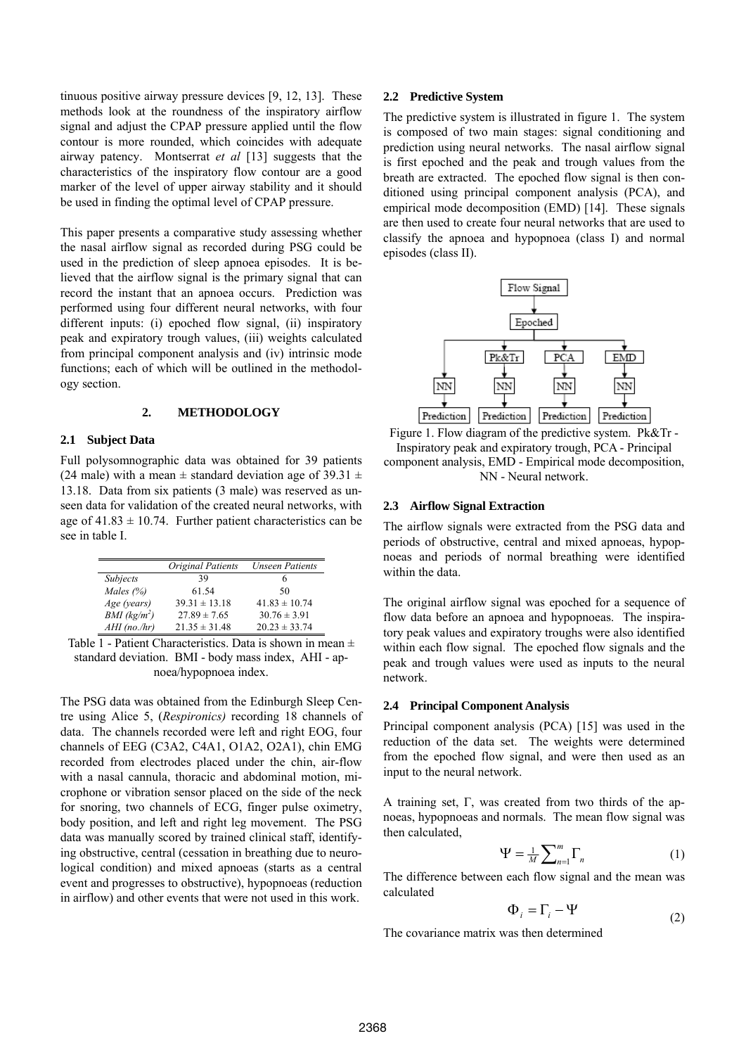tinuous positive airway pressure devices [9, 12, 13]. These methods look at the roundness of the inspiratory airflow signal and adjust the CPAP pressure applied until the flow contour is more rounded, which coincides with adequate airway patency. Montserrat *et al* [13] suggests that the characteristics of the inspiratory flow contour are a good marker of the level of upper airway stability and it should be used in finding the optimal level of CPAP pressure.

This paper presents a comparative study assessing whether the nasal airflow signal as recorded during PSG could be used in the prediction of sleep apnoea episodes. It is believed that the airflow signal is the primary signal that can record the instant that an apnoea occurs. Prediction was performed using four different neural networks, with four different inputs: (i) epoched flow signal, (ii) inspiratory peak and expiratory trough values, (iii) weights calculated from principal component analysis and (iv) intrinsic mode functions; each of which will be outlined in the methodology section.

### **2. METHODOLOGY**

### **2.1 Subject Data**

Full polysomnographic data was obtained for 39 patients (24 male) with a mean  $\pm$  standard deviation age of 39.31  $\pm$ 13.18. Data from six patients (3 male) was reserved as unseen data for validation of the created neural networks, with age of  $41.83 \pm 10.74$ . Further patient characteristics can be see in table I.

|                          | Original Patients | <b>Unseen Patients</b> |
|--------------------------|-------------------|------------------------|
| Subjects                 | 39                |                        |
| Males $(%)$              | 61.54             | 50                     |
| Age (years)              | $39.31 \pm 13.18$ | $41.83 \pm 10.74$      |
| BMI (kg/m <sup>2</sup> ) | $27.89 \pm 7.65$  | $30.76 \pm 3.91$       |
| $AHI$ (no./hr)           | $21.35 \pm 31.48$ | $20.23 \pm 33.74$      |

Table  $\overline{1}$  - Patient Characteristics. Data is shown in mean  $\pm$ standard deviation. BMI - body mass index, AHI - apnoea/hypopnoea index.

The PSG data was obtained from the Edinburgh Sleep Centre using Alice 5, (*Respironics)* recording 18 channels of data. The channels recorded were left and right EOG, four channels of EEG (C3A2, C4A1, O1A2, O2A1), chin EMG recorded from electrodes placed under the chin, air-flow with a nasal cannula, thoracic and abdominal motion, microphone or vibration sensor placed on the side of the neck for snoring, two channels of ECG, finger pulse oximetry, body position, and left and right leg movement. The PSG data was manually scored by trained clinical staff, identifying obstructive, central (cessation in breathing due to neurological condition) and mixed apnoeas (starts as a central event and progresses to obstructive), hypopnoeas (reduction in airflow) and other events that were not used in this work.

#### **2.2 Predictive System**

The predictive system is illustrated in figure 1. The system is composed of two main stages: signal conditioning and prediction using neural networks. The nasal airflow signal is first epoched and the peak and trough values from the breath are extracted. The epoched flow signal is then conditioned using principal component analysis (PCA), and empirical mode decomposition (EMD) [14]. These signals are then used to create four neural networks that are used to classify the apnoea and hypopnoea (class I) and normal episodes (class II).



Figure 1. Flow diagram of the predictive system. Pk&Tr - Inspiratory peak and expiratory trough, PCA - Principal component analysis, EMD - Empirical mode decomposition, NN - Neural network.

#### **2.3 Airflow Signal Extraction**

The airflow signals were extracted from the PSG data and periods of obstructive, central and mixed apnoeas, hypopnoeas and periods of normal breathing were identified within the data

The original airflow signal was epoched for a sequence of flow data before an apnoea and hypopnoeas. The inspiratory peak values and expiratory troughs were also identified within each flow signal. The epoched flow signals and the peak and trough values were used as inputs to the neural network.

#### **2.4 Principal Component Analysis**

Principal component analysis (PCA) [15] was used in the reduction of the data set. The weights were determined from the epoched flow signal, and were then used as an input to the neural network.

A training set, Γ, was created from two thirds of the apnoeas, hypopnoeas and normals. The mean flow signal was then calculated,

$$
\Psi = \frac{1}{M} \sum_{n=1}^{m} \Gamma_n \tag{1}
$$

The difference between each flow signal and the mean was calculated

$$
\Phi_i = \Gamma_i - \Psi \tag{2}
$$

The covariance matrix was then determined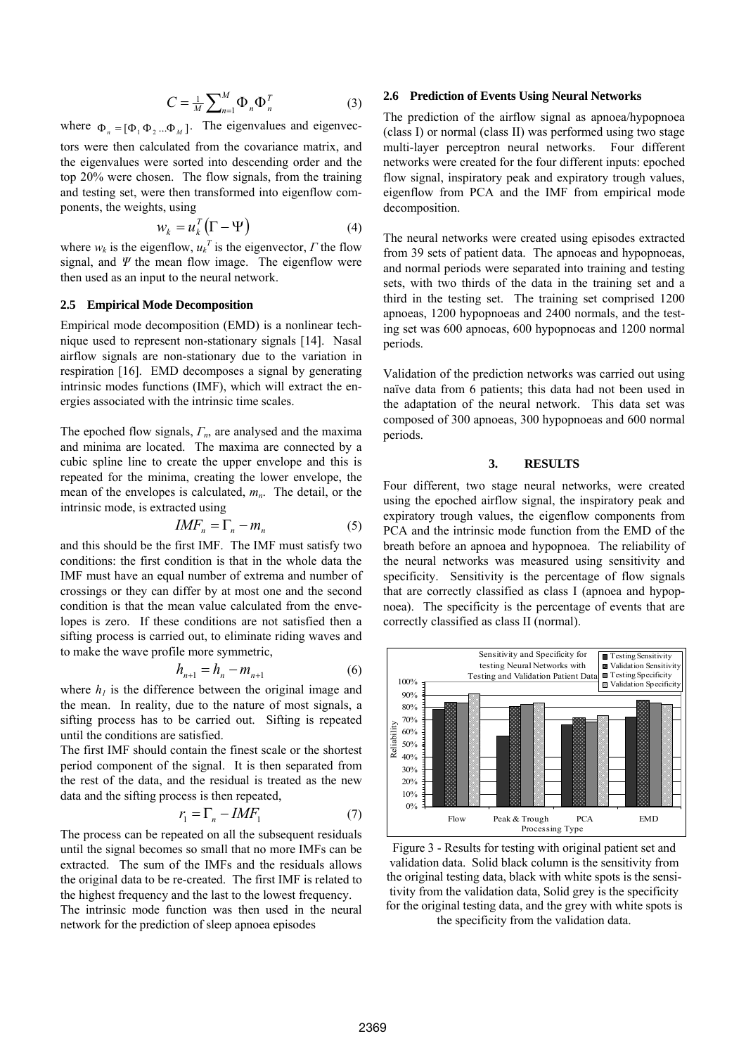$$
C = \frac{1}{M} \sum_{n=1}^{M} \Phi_n \Phi_n^T
$$
 (3)

where  $\Phi_n = [\Phi_1 \Phi_2 ... \Phi_M]$ . The eigenvalues and eigenvec-

tors were then calculated from the covariance matrix, and the eigenvalues were sorted into descending order and the top 20% were chosen. The flow signals, from the training and testing set, were then transformed into eigenflow components, the weights, using

$$
w_k = u_k^T (\Gamma - \Psi) \tag{4}
$$

where  $w_k$  is the eigenflow,  $u_k^T$  is the eigenvector,  $\Gamma$  the flow signal, and *Ψ* the mean flow image. The eigenflow were then used as an input to the neural network.

### **2.5 Empirical Mode Decomposition**

Empirical mode decomposition (EMD) is a nonlinear technique used to represent non-stationary signals [14]. Nasal airflow signals are non-stationary due to the variation in respiration [16]. EMD decomposes a signal by generating intrinsic modes functions (IMF), which will extract the energies associated with the intrinsic time scales.

The epoched flow signals, *Γn*, are analysed and the maxima and minima are located. The maxima are connected by a cubic spline line to create the upper envelope and this is repeated for the minima, creating the lower envelope, the mean of the envelopes is calculated,  $m_n$ . The detail, or the intrinsic mode, is extracted using

$$
IMF_n = \Gamma_n - m_n \tag{5}
$$

and this should be the first IMF. The IMF must satisfy two conditions: the first condition is that in the whole data the IMF must have an equal number of extrema and number of crossings or they can differ by at most one and the second condition is that the mean value calculated from the envelopes is zero. If these conditions are not satisfied then a sifting process is carried out, to eliminate riding waves and to make the wave profile more symmetric,

$$
h_{n+1} = h_n - m_{n+1} \tag{6}
$$

where  $h_l$  is the difference between the original image and the mean. In reality, due to the nature of most signals, a sifting process has to be carried out. Sifting is repeated until the conditions are satisfied.

The first IMF should contain the finest scale or the shortest period component of the signal. It is then separated from the rest of the data, and the residual is treated as the new data and the sifting process is then repeated,

$$
r_1 = \Gamma_n - IMF_1 \tag{7}
$$

The process can be repeated on all the subsequent residuals until the signal becomes so small that no more IMFs can be extracted. The sum of the IMFs and the residuals allows the original data to be re-created. The first IMF is related to the highest frequency and the last to the lowest frequency.

The intrinsic mode function was then used in the neural network for the prediction of sleep apnoea episodes

### **2.6 Prediction of Events Using Neural Networks**

The prediction of the airflow signal as apnoea/hypopnoea (class I) or normal (class II) was performed using two stage multi-layer perceptron neural networks. Four different networks were created for the four different inputs: epoched flow signal, inspiratory peak and expiratory trough values, eigenflow from PCA and the IMF from empirical mode decomposition.

The neural networks were created using episodes extracted from 39 sets of patient data. The apnoeas and hypopnoeas, and normal periods were separated into training and testing sets, with two thirds of the data in the training set and a third in the testing set. The training set comprised 1200 apnoeas, 1200 hypopnoeas and 2400 normals, and the testing set was 600 apnoeas, 600 hypopnoeas and 1200 normal periods.

Validation of the prediction networks was carried out using naïve data from 6 patients; this data had not been used in the adaptation of the neural network. This data set was composed of 300 apnoeas, 300 hypopnoeas and 600 normal periods.

### **3. RESULTS**

Four different, two stage neural networks, were created using the epoched airflow signal, the inspiratory peak and expiratory trough values, the eigenflow components from PCA and the intrinsic mode function from the EMD of the breath before an apnoea and hypopnoea. The reliability of the neural networks was measured using sensitivity and specificity. Sensitivity is the percentage of flow signals that are correctly classified as class I (apnoea and hypopnoea). The specificity is the percentage of events that are correctly classified as class II (normal).



Figure 3 - Results for testing with original patient set and validation data. Solid black column is the sensitivity from the original testing data, black with white spots is the sensitivity from the validation data, Solid grey is the specificity for the original testing data, and the grey with white spots is the specificity from the validation data.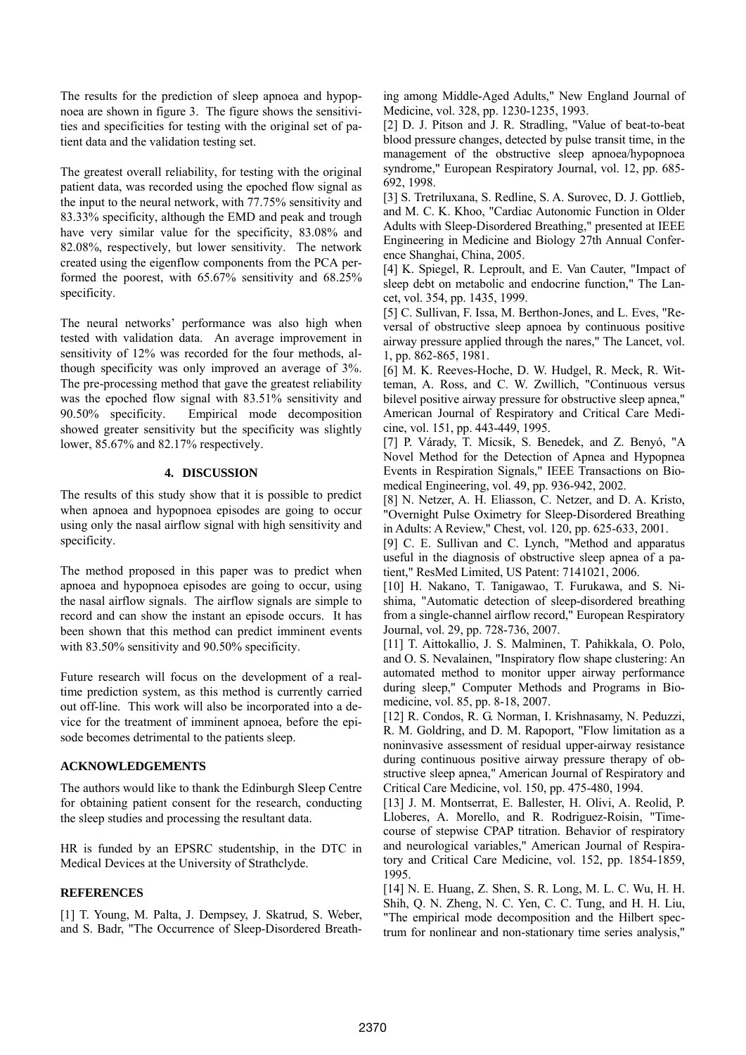The results for the prediction of sleep apnoea and hypopnoea are shown in figure 3. The figure shows the sensitivities and specificities for testing with the original set of patient data and the validation testing set.

The greatest overall reliability, for testing with the original patient data, was recorded using the epoched flow signal as the input to the neural network, with 77.75% sensitivity and 83.33% specificity, although the EMD and peak and trough have very similar value for the specificity, 83.08% and 82.08%, respectively, but lower sensitivity. The network created using the eigenflow components from the PCA performed the poorest, with 65.67% sensitivity and 68.25% specificity.

The neural networks' performance was also high when tested with validation data. An average improvement in sensitivity of 12% was recorded for the four methods, although specificity was only improved an average of 3%. The pre-processing method that gave the greatest reliability was the epoched flow signal with 83.51% sensitivity and 90.50% specificity. Empirical mode decomposition showed greater sensitivity but the specificity was slightly lower, 85.67% and 82.17% respectively.

# **4. DISCUSSION**

The results of this study show that it is possible to predict when apnoea and hypopnoea episodes are going to occur using only the nasal airflow signal with high sensitivity and specificity.

The method proposed in this paper was to predict when apnoea and hypopnoea episodes are going to occur, using the nasal airflow signals. The airflow signals are simple to record and can show the instant an episode occurs. It has been shown that this method can predict imminent events with 83.50% sensitivity and 90.50% specificity.

Future research will focus on the development of a realtime prediction system, as this method is currently carried out off-line. This work will also be incorporated into a device for the treatment of imminent apnoea, before the episode becomes detrimental to the patients sleep.

# **ACKNOWLEDGEMENTS**

The authors would like to thank the Edinburgh Sleep Centre for obtaining patient consent for the research, conducting the sleep studies and processing the resultant data.

HR is funded by an EPSRC studentship, in the DTC in Medical Devices at the University of Strathclyde.

# **REFERENCES**

[1] T. Young, M. Palta, J. Dempsey, J. Skatrud, S. Weber, and S. Badr, "The Occurrence of Sleep-Disordered Breathing among Middle-Aged Adults," New England Journal of Medicine, vol. 328, pp. 1230-1235, 1993.

[2] D. J. Pitson and J. R. Stradling, "Value of beat-to-beat blood pressure changes, detected by pulse transit time, in the management of the obstructive sleep apnoea/hypopnoea syndrome," European Respiratory Journal, vol. 12, pp. 685- 692, 1998.

[3] S. Tretriluxana, S. Redline, S. A. Surovec, D. J. Gottlieb, and M. C. K. Khoo, "Cardiac Autonomic Function in Older Adults with Sleep-Disordered Breathing," presented at IEEE Engineering in Medicine and Biology 27th Annual Conference Shanghai, China, 2005.

[4] K. Spiegel, R. Leproult, and E. Van Cauter, "Impact of sleep debt on metabolic and endocrine function," The Lancet, vol. 354, pp. 1435, 1999.

[5] C. Sullivan, F. Issa, M. Berthon-Jones, and L. Eves, "Reversal of obstructive sleep apnoea by continuous positive airway pressure applied through the nares," The Lancet, vol. 1, pp. 862-865, 1981.

[6] M. K. Reeves-Hoche, D. W. Hudgel, R. Meck, R. Witteman, A. Ross, and C. W. Zwillich, "Continuous versus bilevel positive airway pressure for obstructive sleep apnea," American Journal of Respiratory and Critical Care Medicine, vol. 151, pp. 443-449, 1995.

[7] P. Várady, T. Micsik, S. Benedek, and Z. Benyó, "A Novel Method for the Detection of Apnea and Hypopnea Events in Respiration Signals," IEEE Transactions on Biomedical Engineering, vol. 49, pp. 936-942, 2002.

[8] N. Netzer, A. H. Eliasson, C. Netzer, and D. A. Kristo, "Overnight Pulse Oximetry for Sleep-Disordered Breathing in Adults: A Review," Chest, vol. 120, pp. 625-633, 2001.

[9] C. E. Sullivan and C. Lynch, "Method and apparatus useful in the diagnosis of obstructive sleep apnea of a patient," ResMed Limited, US Patent: 7141021, 2006.

[10] H. Nakano, T. Tanigawao, T. Furukawa, and S. Nishima, "Automatic detection of sleep-disordered breathing from a single-channel airflow record," European Respiratory Journal, vol. 29, pp. 728-736, 2007.

[11] T. Aittokallio, J. S. Malminen, T. Pahikkala, O. Polo, and O. S. Nevalainen, "Inspiratory flow shape clustering: An automated method to monitor upper airway performance during sleep," Computer Methods and Programs in Biomedicine, vol. 85, pp. 8-18, 2007.

[12] R. Condos, R. G. Norman, I. Krishnasamy, N. Peduzzi, R. M. Goldring, and D. M. Rapoport, "Flow limitation as a noninvasive assessment of residual upper-airway resistance during continuous positive airway pressure therapy of obstructive sleep apnea," American Journal of Respiratory and Critical Care Medicine, vol. 150, pp. 475-480, 1994.

[13] J. M. Montserrat, E. Ballester, H. Olivi, A. Reolid, P. Lloberes, A. Morello, and R. Rodriguez-Roisin, "Timecourse of stepwise CPAP titration. Behavior of respiratory and neurological variables," American Journal of Respiratory and Critical Care Medicine, vol. 152, pp. 1854-1859, 1995.

[14] N. E. Huang, Z. Shen, S. R. Long, M. L. C. Wu, H. H. Shih, Q. N. Zheng, N. C. Yen, C. C. Tung, and H. H. Liu, "The empirical mode decomposition and the Hilbert spectrum for nonlinear and non-stationary time series analysis,"